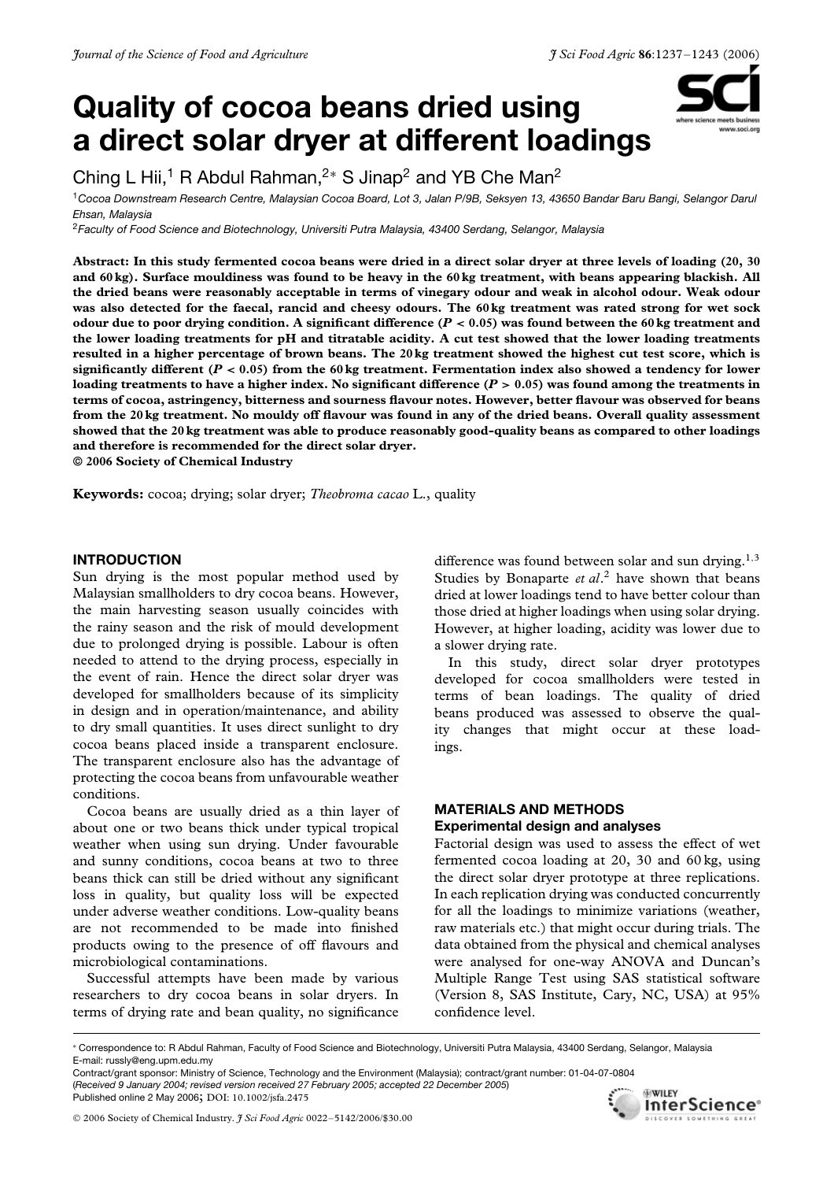# **Quality of cocoa beans dried using a direct solar dryer at different loadings**

Ching L Hii,<sup>1</sup> R Abdul Rahman,<sup>2</sup> S Jinap<sup>2</sup> and YB Che Man<sup>2</sup>

<sup>1</sup>*Cocoa Downstream Research Centre, Malaysian Cocoa Board, Lot 3, Jalan P/9B, Seksyen 13, 43650 Bandar Baru Bangi, Selangor Darul Ehsan, Malaysia*

<sup>2</sup>*Faculty of Food Science and Biotechnology, Universiti Putra Malaysia, 43400 Serdang, Selangor, Malaysia*

**Abstract: In this study fermented cocoa beans were dried in a direct solar dryer at three levels of loading (20, 30 and 60 kg). Surface mouldiness was found to be heavy in the 60 kg treatment, with beans appearing blackish. All the dried beans were reasonably acceptable in terms of vinegary odour and weak in alcohol odour. Weak odour was also detected for the faecal, rancid and cheesy odours. The 60 kg treatment was rated strong for wet sock odour due to poor drying condition. A significant difference (***P <* **0***.***05) was found between the 60 kg treatment and the lower loading treatments for pH and titratable acidity. A cut test showed that the lower loading treatments resulted in a higher percentage of brown beans. The 20 kg treatment showed the highest cut test score, which is** significantly different ( $P < 0.05$ ) from the 60 kg treatment. Fermentation index also showed a tendency for lower **loading treatments to have a higher index. No significant difference (***P >* **0***.***05) was found among the treatments in terms of cocoa, astringency, bitterness and sourness flavour notes. However, better flavour was observed for beans from the 20 kg treatment. No mouldy off flavour was found in any of the dried beans. Overall quality assessment showed that the 20 kg treatment was able to produce reasonably good-quality beans as compared to other loadings and therefore is recommended for the direct solar dryer.**

**2006 Society of Chemical Industry**

**Keywords:** cocoa; drying; solar dryer; *Theobroma cacao* L., quality

#### **INTRODUCTION**

Sun drying is the most popular method used by Malaysian smallholders to dry cocoa beans. However, the main harvesting season usually coincides with the rainy season and the risk of mould development due to prolonged drying is possible. Labour is often needed to attend to the drying process, especially in the event of rain. Hence the direct solar dryer was developed for smallholders because of its simplicity in design and in operation/maintenance, and ability to dry small quantities. It uses direct sunlight to dry cocoa beans placed inside a transparent enclosure. The transparent enclosure also has the advantage of protecting the cocoa beans from unfavourable weather conditions.

Cocoa beans are usually dried as a thin layer of about one or two beans thick under typical tropical weather when using sun drying. Under favourable and sunny conditions, cocoa beans at two to three beans thick can still be dried without any significant loss in quality, but quality loss will be expected under adverse weather conditions. Low-quality beans are not recommended to be made into finished products owing to the presence of off flavours and microbiological contaminations.

Successful attempts have been made by various researchers to dry cocoa beans in solar dryers. In terms of drying rate and bean quality, no significance difference was found between solar and sun drying.<sup>1,3</sup> Studies by Bonaparte *et al*. <sup>2</sup> have shown that beans dried at lower loadings tend to have better colour than those dried at higher loadings when using solar drying. However, at higher loading, acidity was lower due to a slower drying rate.

In this study, direct solar dryer prototypes developed for cocoa smallholders were tested in terms of bean loadings. The quality of dried beans produced was assessed to observe the quality changes that might occur at these loadings.

# **MATERIALS AND METHODS**

# **Experimental design and analyses**

Factorial design was used to assess the effect of wet fermented cocoa loading at 20, 30 and 60 kg, using the direct solar dryer prototype at three replications. In each replication drying was conducted concurrently for all the loadings to minimize variations (weather, raw materials etc.) that might occur during trials. The data obtained from the physical and chemical analyses were analysed for one-way ANOVA and Duncan's Multiple Range Test using SAS statistical software (Version 8, SAS Institute, Cary, NC, USA) at 95% confidence level.

2006 Society of Chemical Industry. *J Sci Food Agric* 0022–5142/2006/\$30.00



<sup>∗</sup> Correspondence to: R Abdul Rahman, Faculty of Food Science and Biotechnology, Universiti Putra Malaysia, 43400 Serdang, Selangor, Malaysia E-mail: russly@eng.upm.edu.my

Contract/grant sponsor: Ministry of Science, Technology and the Environment (Malaysia); contract/grant number: 01-04-07-0804

<sup>(</sup>*Received 9 January 2004; revised version received 27 February 2005; accepted 22 December 2005*) Published online 2 May 2006; DOI: 10.1002/jsfa.2475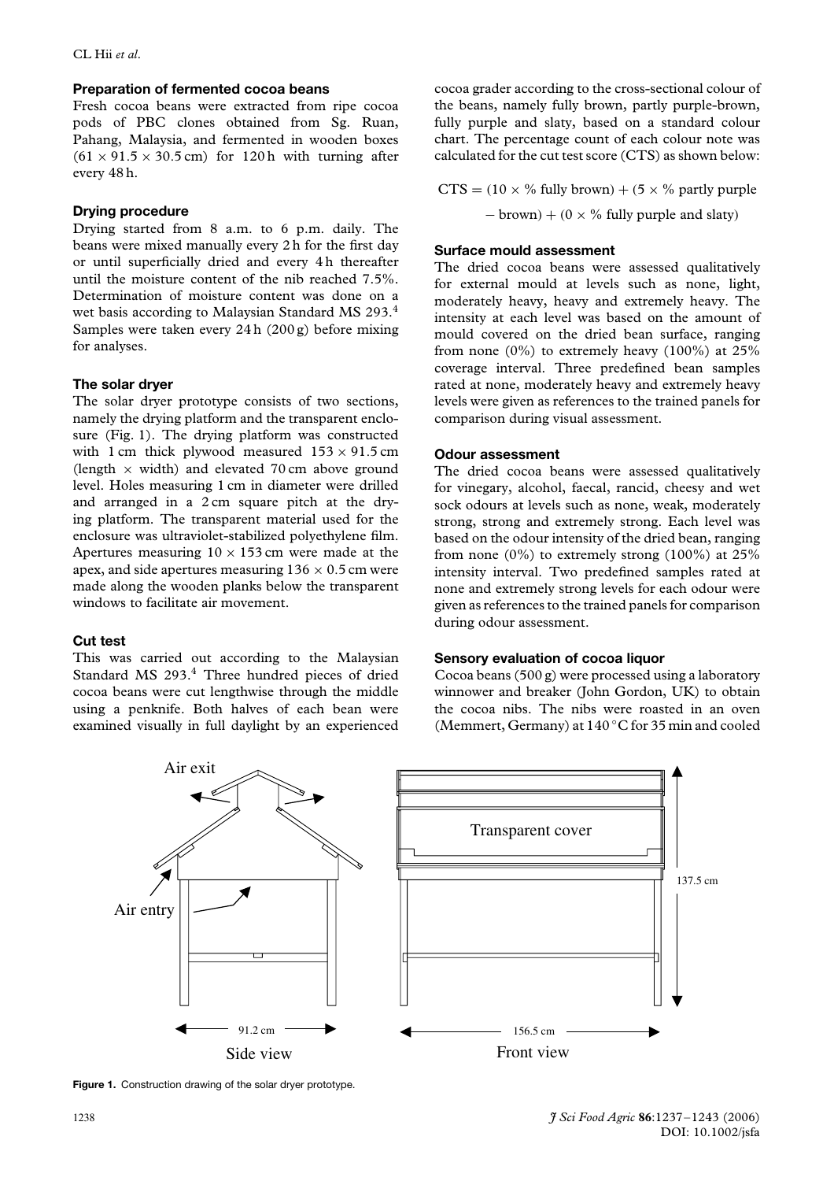# **Preparation of fermented cocoa beans**

Fresh cocoa beans were extracted from ripe cocoa pods of PBC clones obtained from Sg. Ruan, Pahang, Malaysia, and fermented in wooden boxes  $(61 \times 91.5 \times 30.5 \text{ cm})$  for 120h with turning after every 48 h.

# **Drying procedure**

Drying started from 8 a.m. to 6 p.m. daily. The beans were mixed manually every 2 h for the first day or until superficially dried and every 4 h thereafter until the moisture content of the nib reached 7.5%. Determination of moisture content was done on a wet basis according to Malaysian Standard MS 293.<sup>4</sup> Samples were taken every 24 h (200 g) before mixing for analyses.

#### **The solar dryer**

The solar dryer prototype consists of two sections, namely the drying platform and the transparent enclosure (Fig. 1). The drying platform was constructed with 1 cm thick plywood measured  $153 \times 91.5$  cm (length  $\times$  width) and elevated 70 cm above ground level. Holes measuring 1 cm in diameter were drilled and arranged in a 2 cm square pitch at the drying platform. The transparent material used for the enclosure was ultraviolet-stabilized polyethylene film. Apertures measuring  $10 \times 153$  cm were made at the apex, and side apertures measuring  $136 \times 0.5$  cm were made along the wooden planks below the transparent windows to facilitate air movement.

#### **Cut test**

This was carried out according to the Malaysian Standard MS 293.4 Three hundred pieces of dried cocoa beans were cut lengthwise through the middle using a penknife. Both halves of each bean were examined visually in full daylight by an experienced

cocoa grader according to the cross-sectional colour of the beans, namely fully brown, partly purple-brown, fully purple and slaty, based on a standard colour chart. The percentage count of each colour note was calculated for the cut test score (CTS) as shown below:

 $CTS = (10 \times \%$  fully brown)  $+ (5 \times \%$  partly purple − brown*)* + *(*0 × % fully purple and slaty*)*

#### **Surface mould assessment**

The dried cocoa beans were assessed qualitatively for external mould at levels such as none, light, moderately heavy, heavy and extremely heavy. The intensity at each level was based on the amount of mould covered on the dried bean surface, ranging from none  $(0\%)$  to extremely heavy  $(100\%)$  at  $25\%$ coverage interval. Three predefined bean samples rated at none, moderately heavy and extremely heavy levels were given as references to the trained panels for comparison during visual assessment.

# **Odour assessment**

The dried cocoa beans were assessed qualitatively for vinegary, alcohol, faecal, rancid, cheesy and wet sock odours at levels such as none, weak, moderately strong, strong and extremely strong. Each level was based on the odour intensity of the dried bean, ranging from none  $(0\%)$  to extremely strong  $(100\%)$  at  $25\%$ intensity interval. Two predefined samples rated at none and extremely strong levels for each odour were given as references to the trained panels for comparison during odour assessment.

#### **Sensory evaluation of cocoa liquor**

Cocoa beans (500 g) were processed using a laboratory winnower and breaker (John Gordon, UK) to obtain the cocoa nibs. The nibs were roasted in an oven (Memmert, Germany) at 140 ◦C for 35 min and cooled



**Figure 1.** Construction drawing of the solar dryer prototype.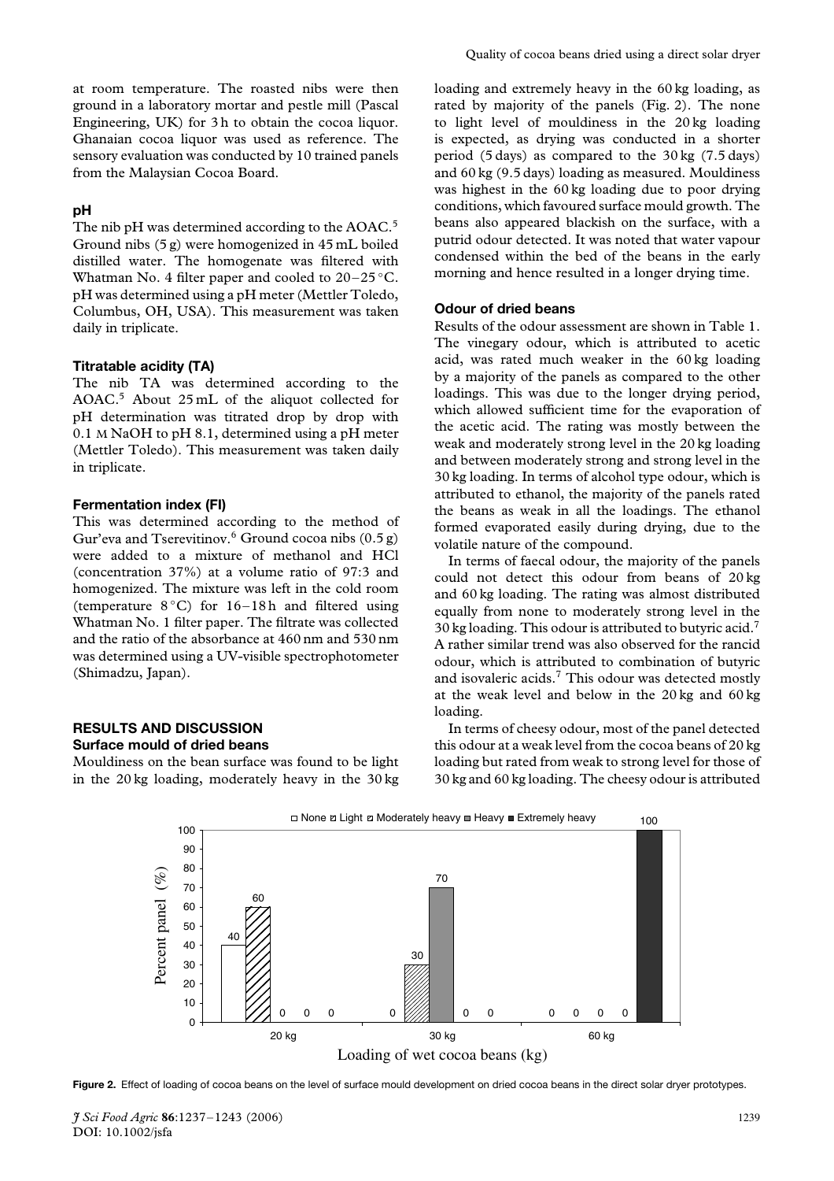at room temperature. The roasted nibs were then ground in a laboratory mortar and pestle mill (Pascal Engineering, UK) for 3 h to obtain the cocoa liquor. Ghanaian cocoa liquor was used as reference. The sensory evaluation was conducted by 10 trained panels from the Malaysian Cocoa Board.

#### **pH**

The nib pH was determined according to the AOAC.<sup>5</sup> Ground nibs (5 g) were homogenized in 45 mL boiled distilled water. The homogenate was filtered with Whatman No. 4 filter paper and cooled to 20–25 ◦C. pH was determined using a pH meter (Mettler Toledo, Columbus, OH, USA). This measurement was taken daily in triplicate.

#### **Titratable acidity (TA)**

The nib TA was determined according to the AOAC.5 About 25 mL of the aliquot collected for pH determination was titrated drop by drop with 0.1 M NaOH to pH 8.1, determined using a pH meter (Mettler Toledo). This measurement was taken daily in triplicate.

# **Fermentation index (FI)**

This was determined according to the method of Gur'eva and Tserevitinov.<sup>6</sup> Ground cocoa nibs  $(0.5 g)$ were added to a mixture of methanol and HCl (concentration 37%) at a volume ratio of 97:3 and homogenized. The mixture was left in the cold room (temperature  $8^{\circ}$ C) for 16–18h and filtered using Whatman No. 1 filter paper. The filtrate was collected and the ratio of the absorbance at 460 nm and 530 nm was determined using a UV-visible spectrophotometer (Shimadzu, Japan).

#### **RESULTS AND DISCUSSION Surface mould of dried beans**

Mouldiness on the bean surface was found to be light in the 20 kg loading, moderately heavy in the 30 kg loading and extremely heavy in the 60 kg loading, as rated by majority of the panels (Fig. 2). The none to light level of mouldiness in the 20 kg loading is expected, as drying was conducted in a shorter period (5 days) as compared to the 30 kg (7.5 days) and 60 kg (9.5 days) loading as measured. Mouldiness was highest in the 60 kg loading due to poor drying conditions, which favoured surface mould growth. The beans also appeared blackish on the surface, with a putrid odour detected. It was noted that water vapour condensed within the bed of the beans in the early morning and hence resulted in a longer drying time.

#### **Odour of dried beans**

Results of the odour assessment are shown in Table 1. The vinegary odour, which is attributed to acetic acid, was rated much weaker in the 60 kg loading by a majority of the panels as compared to the other loadings. This was due to the longer drying period, which allowed sufficient time for the evaporation of the acetic acid. The rating was mostly between the weak and moderately strong level in the 20 kg loading and between moderately strong and strong level in the 30 kg loading. In terms of alcohol type odour, which is attributed to ethanol, the majority of the panels rated the beans as weak in all the loadings. The ethanol formed evaporated easily during drying, due to the volatile nature of the compound.

In terms of faecal odour, the majority of the panels could not detect this odour from beans of 20 kg and 60 kg loading. The rating was almost distributed equally from none to moderately strong level in the 30 kg loading. This odour is attributed to butyric acid.7 A rather similar trend was also observed for the rancid odour, which is attributed to combination of butyric and isovaleric acids.<sup>7</sup> This odour was detected mostly at the weak level and below in the 20 kg and 60 kg loading.

In terms of cheesy odour, most of the panel detected this odour at a weak level from the cocoa beans of 20 kg loading but rated from weak to strong level for those of 30 kg and 60 kg loading. The cheesy odour is attributed



**Figure 2.** Effect of loading of cocoa beans on the level of surface mould development on dried cocoa beans in the direct solar dryer prototypes.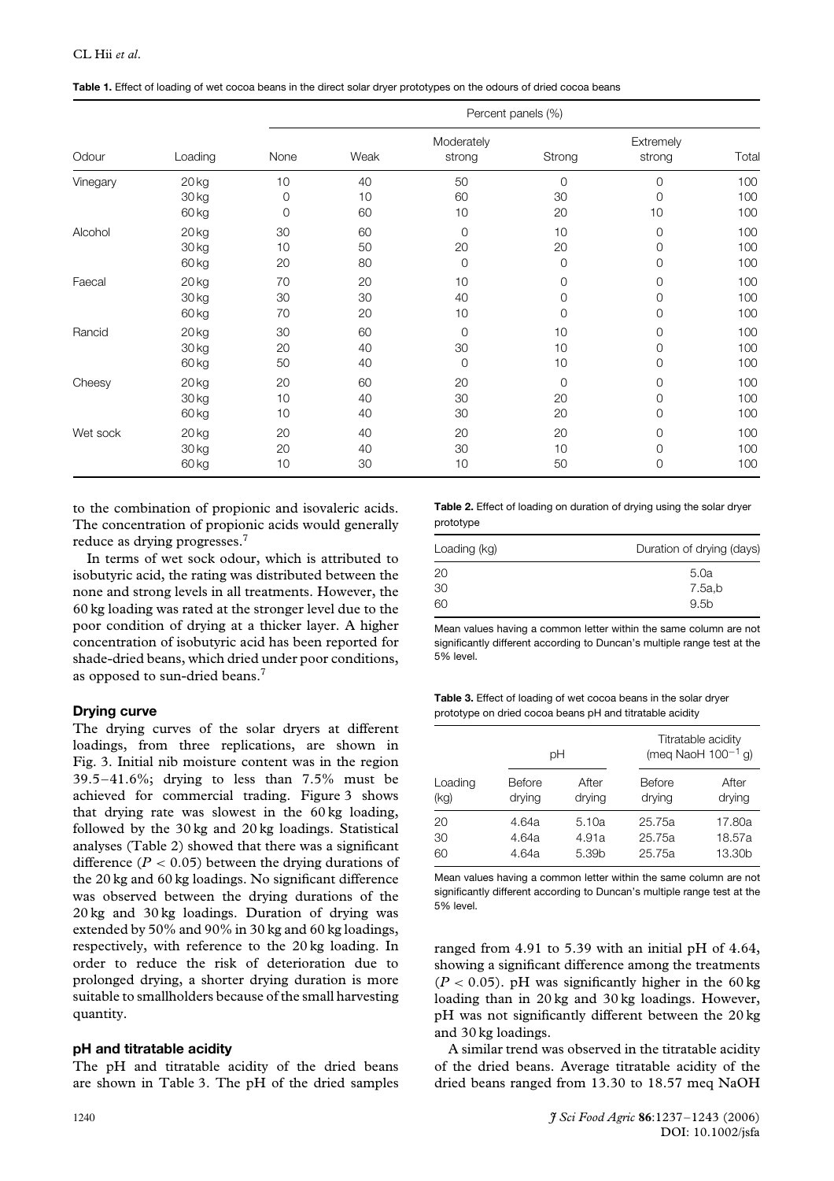| Table 1. Effect of loading of wet cocoa beans in the direct solar dryer prototypes on the odours of dried cocoa beans |
|-----------------------------------------------------------------------------------------------------------------------|
|-----------------------------------------------------------------------------------------------------------------------|

| Odour    | Loading | Percent panels (%) |        |                      |                |                     |       |
|----------|---------|--------------------|--------|----------------------|----------------|---------------------|-------|
|          |         | None               | Weak   | Moderately<br>strong | Strong         | Extremely<br>strong | Total |
| Vinegary | 20 kg   | 10                 | 40     | 50                   | $\overline{0}$ | 0                   | 100   |
|          | 30 kg   | 0                  | 10     | 60                   | 30             | 0                   | 100   |
|          | 60 kg   | $\overline{0}$     | 60     | 10                   | 20             | 10                  | 100   |
| Alcohol  | $20$ kg | 30                 | 60     | $\mathbf 0$          | 10             | 0                   | 100   |
|          | 30 kg   | 10                 | 50     | 20                   | 20             | 0                   | 100   |
|          | 60 kg   | 20                 | 80     | $\mathbf 0$          | $\overline{0}$ | $\overline{0}$      | 100   |
| Faecal   | 20 kg   | 70                 | 20     | 10                   | 0              | 0                   | 100   |
|          | 30 kg   | 30                 | 30     | 40                   | 0              | 0                   | 100   |
|          | 60 kg   | 70                 | 20     | 10                   | $\Omega$       | 0                   | 100   |
| Rancid   | 20 kg   | 30                 | 60     | $\mathbf 0$          | 10             | 0                   | 100   |
|          | 30 kg   | 20                 | 40     | 30                   | 10             | 0                   | 100   |
|          | 60 kg   | 50                 | 40     | 0                    | 10             | $\overline{0}$      | 100   |
| Cheesy   | 20 kg   | 20                 | 60     | 20                   | $\mathbf 0$    | 0                   | 100   |
|          | 30 kg   | 10                 | 40     | 30                   | 20             | 0                   | 100   |
|          | 60 kg   | 10                 | 40     | 30                   | 20             | 0                   | 100   |
| Wet sock | 20 kg   | 20                 | 40     | 20                   | 20             | $\overline{0}$      | 100   |
|          | 30 kg   | 20                 | 40     | 30                   | 10             | 0                   | 100   |
|          | 60 kg   | 10                 | $30\,$ | 10                   | 50             | $\mathsf O$         | 100   |

to the combination of propionic and isovaleric acids. The concentration of propionic acids would generally reduce as drying progresses.7

In terms of wet sock odour, which is attributed to isobutyric acid, the rating was distributed between the none and strong levels in all treatments. However, the 60 kg loading was rated at the stronger level due to the poor condition of drying at a thicker layer. A higher concentration of isobutyric acid has been reported for shade-dried beans, which dried under poor conditions, as opposed to sun-dried beans.<sup>7</sup>

#### **Drying curve**

The drying curves of the solar dryers at different loadings, from three replications, are shown in Fig. 3. Initial nib moisture content was in the region  $39.5-41.6\%$ ; drying to less than  $7.5\%$  must be achieved for commercial trading. Figure 3 shows that drying rate was slowest in the 60 kg loading, followed by the 30 kg and 20 kg loadings. Statistical analyses (Table 2) showed that there was a significant difference  $(P < 0.05)$  between the drying durations of the 20 kg and 60 kg loadings. No significant difference was observed between the drying durations of the 20 kg and 30 kg loadings. Duration of drying was extended by 50% and 90% in 30 kg and 60 kg loadings, respectively, with reference to the 20 kg loading. In order to reduce the risk of deterioration due to prolonged drying, a shorter drying duration is more suitable to smallholders because of the small harvesting quantity.

#### **pH and titratable acidity**

The pH and titratable acidity of the dried beans are shown in Table 3. The pH of the dried samples **Table 2.** Effect of loading on duration of drying using the solar dryer prototype

| Loading (kg) | Duration of drying (days) |
|--------------|---------------------------|
| 20           | 5.0a                      |
| 30           | 7.5a,b                    |
| 60           | 9.5 <sub>b</sub>          |

Mean values having a common letter within the same column are not significantly different according to Duncan's multiple range test at the 5% level.

| Table 3. Effect of loading of wet cocoa beans in the solar dryer |
|------------------------------------------------------------------|
| prototype on dried cocoa beans pH and titratable acidity         |

|                 | рH                      |                 |                         | Titratable acidity<br>(meg NaoH $100^{-1}$ g) |
|-----------------|-------------------------|-----------------|-------------------------|-----------------------------------------------|
| Loading<br>(kg) | <b>Before</b><br>drying | After<br>drying | <b>Before</b><br>drying | After<br>drying                               |
| 20              | 4.64a                   | 5.10a           | 25.75a                  | 17.80a                                        |
| 30              | 4.64a                   | 4.91a           | 25.75a                  | 18.57a                                        |
| 60              | 4.64a                   | 5.39b           | 25.75a                  | 13.30b                                        |

Mean values having a common letter within the same column are not significantly different according to Duncan's multiple range test at the 5% level.

ranged from 4.91 to 5.39 with an initial pH of 4.64, showing a significant difference among the treatments  $(P < 0.05)$ . pH was significantly higher in the 60 kg loading than in 20 kg and 30 kg loadings. However, pH was not significantly different between the 20 kg and 30 kg loadings.

A similar trend was observed in the titratable acidity of the dried beans. Average titratable acidity of the dried beans ranged from 13.30 to 18.57 meq NaOH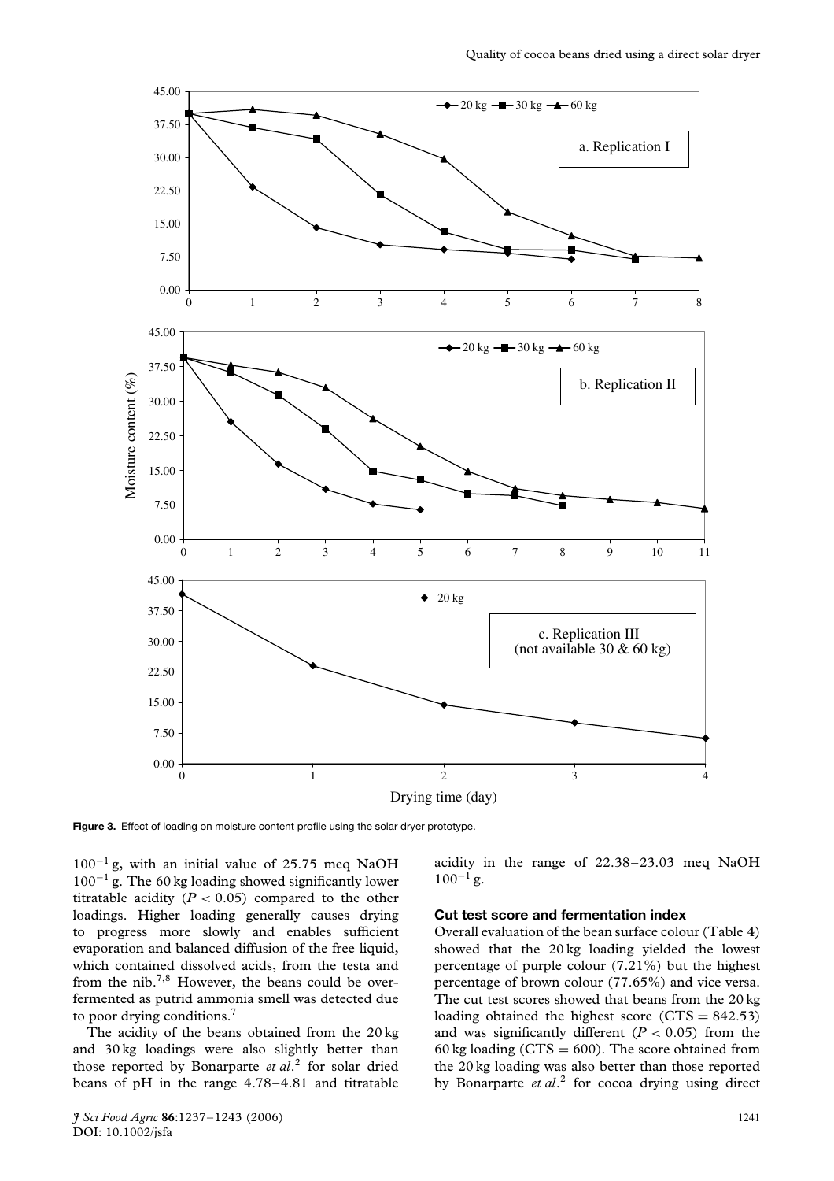

**Figure 3.** Effect of loading on moisture content profile using the solar dryer prototype.

100−<sup>1</sup> g, with an initial value of 25.75 meq NaOH 100−<sup>1</sup> g. The 60 kg loading showed significantly lower titratable acidity  $(P < 0.05)$  compared to the other loadings. Higher loading generally causes drying to progress more slowly and enables sufficient evaporation and balanced diffusion of the free liquid, which contained dissolved acids, from the testa and from the nib.7*,*<sup>8</sup> However, the beans could be overfermented as putrid ammonia smell was detected due to poor drying conditions.7

The acidity of the beans obtained from the 20 kg and 30 kg loadings were also slightly better than those reported by Bonarparte *et al*. <sup>2</sup> for solar dried beans of pH in the range 4.78–4.81 and titratable acidity in the range of 22.38–23.03 meq NaOH  $100^{-1}$  g.

#### **Cut test score and fermentation index**

Overall evaluation of the bean surface colour (Table 4) showed that the 20 kg loading yielded the lowest percentage of purple colour (7.21%) but the highest percentage of brown colour (77.65%) and vice versa. The cut test scores showed that beans from the 20 kg loading obtained the highest score (CTS = 842*.*53) and was significantly different  $(P < 0.05)$  from the 60 kg loading ( $CTS = 600$ ). The score obtained from the 20 kg loading was also better than those reported by Bonarparte *et al*. <sup>2</sup> for cocoa drying using direct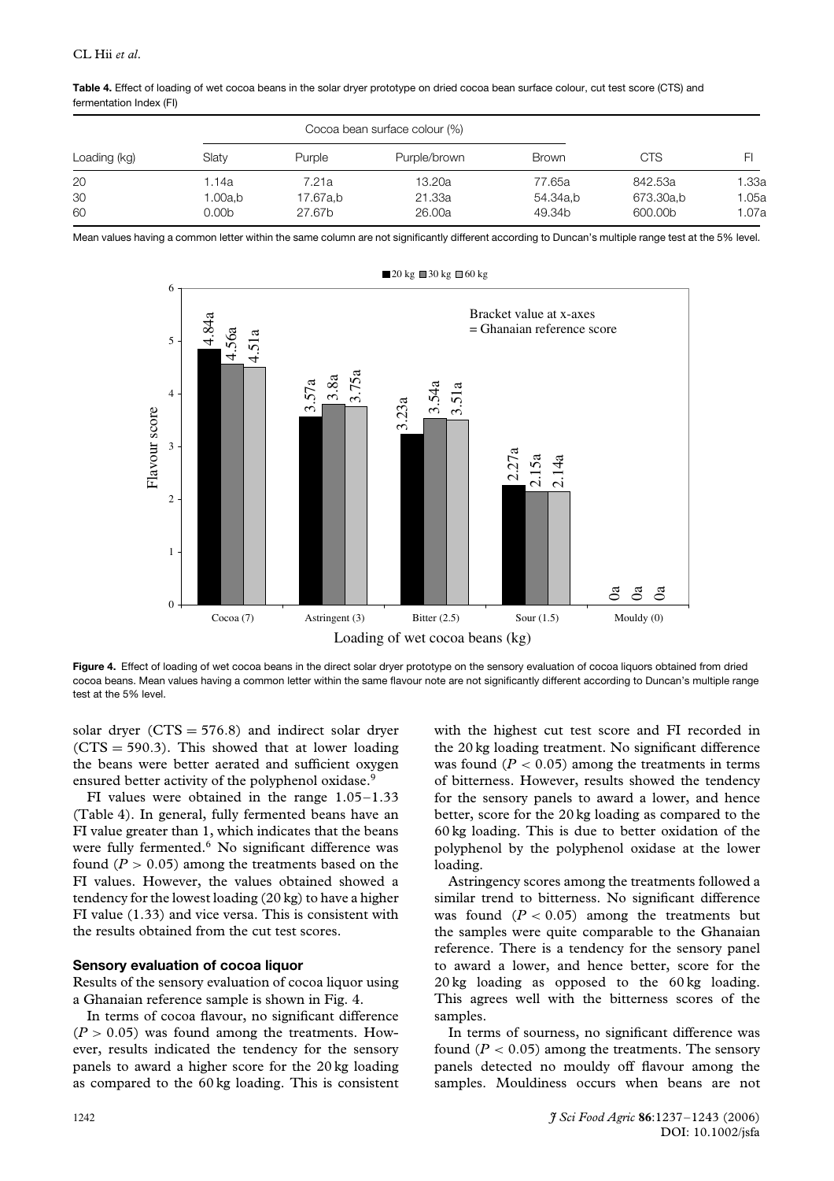|              |         | Cocoa bean surface colour (%) |              |              |            |       |
|--------------|---------|-------------------------------|--------------|--------------|------------|-------|
| Loading (kg) | Slaty   | Purple                        | Purple/brown | <b>Brown</b> | <b>CTS</b> |       |
| 20           | 1.14a   | 7.21a                         | 13.20a       | 77.65a       | 842.53a    | 1.33a |
| 30           | 1.00a,b | 17.67a.b                      | 21.33a       | 54.34a,b     | 673.30a,b  | 1.05a |
| 60           | 0.00b   | 27.67b                        | 26.00a       | 49.34b       | 600,00b    | 1.07a |

**Table 4.** Effect of loading of wet cocoa beans in the solar dryer prototype on dried cocoa bean surface colour, cut test score (CTS) and fermentation Index (FI)

Mean values having a common letter within the same column are not significantly different according to Duncan's multiple range test at the 5% level.



**Figure 4.** Effect of loading of wet cocoa beans in the direct solar dryer prototype on the sensory evaluation of cocoa liquors obtained from dried cocoa beans. Mean values having a common letter within the same flavour note are not significantly different according to Duncan's multiple range test at the 5% level.

solar dryer (CTS = 576*.*8) and indirect solar dryer (CTS = 590*.*3). This showed that at lower loading the beans were better aerated and sufficient oxygen ensured better activity of the polyphenol oxidase.<sup>9</sup>

FI values were obtained in the range 1.05–1.33 (Table 4). In general, fully fermented beans have an FI value greater than 1, which indicates that the beans were fully fermented.<sup>6</sup> No significant difference was found  $(P > 0.05)$  among the treatments based on the FI values. However, the values obtained showed a tendency for the lowest loading (20 kg) to have a higher FI value (1.33) and vice versa. This is consistent with the results obtained from the cut test scores.

#### **Sensory evaluation of cocoa liquor**

Results of the sensory evaluation of cocoa liquor using a Ghanaian reference sample is shown in Fig. 4.

In terms of cocoa flavour, no significant difference  $(P > 0.05)$  was found among the treatments. However, results indicated the tendency for the sensory panels to award a higher score for the 20 kg loading as compared to the 60 kg loading. This is consistent with the highest cut test score and FI recorded in the 20 kg loading treatment. No significant difference was found  $(P < 0.05)$  among the treatments in terms of bitterness. However, results showed the tendency for the sensory panels to award a lower, and hence better, score for the 20 kg loading as compared to the 60 kg loading. This is due to better oxidation of the polyphenol by the polyphenol oxidase at the lower loading.

Astringency scores among the treatments followed a similar trend to bitterness. No significant difference was found  $(P < 0.05)$  among the treatments but the samples were quite comparable to the Ghanaian reference. There is a tendency for the sensory panel to award a lower, and hence better, score for the 20 kg loading as opposed to the 60 kg loading. This agrees well with the bitterness scores of the samples.

In terms of sourness, no significant difference was found  $(P < 0.05)$  among the treatments. The sensory panels detected no mouldy off flavour among the samples. Mouldiness occurs when beans are not

#### $20 \text{ kg}$  30 kg  $60 \text{ kg}$